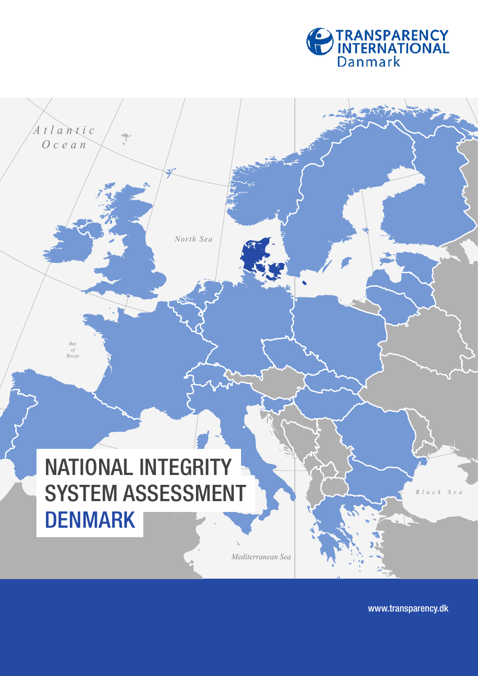

 $\mathcal{L}$ *Sea*

NATIONAL INTEGRITY SYSTEM ASSESSMENT **DENMARK** 

*North Sea*

*Atlantic Ocean*

*Bay of Biscay*

*Mediterranean Sea*

www.transparency.dk

*Black Sea*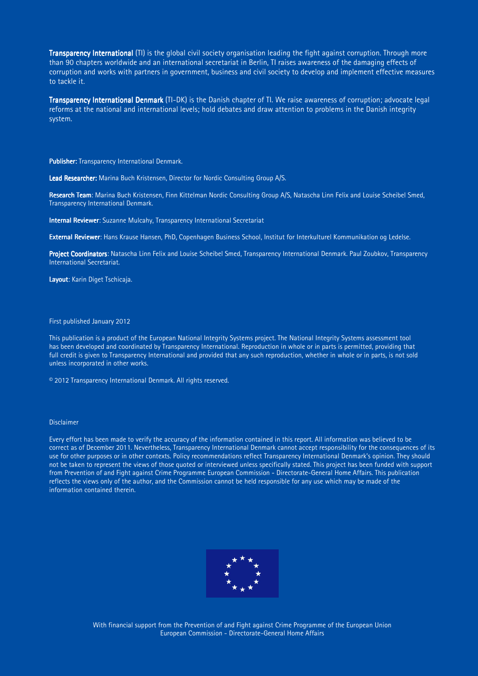**Transparency International** (TI) is the global civil society organisation leading the fight against corruption. Through more than 90 chapters worldwide and an international secretariat in Berlin, TI raises awareness of the damaging effects of corruption and works with partners in government, business and civil society to develop and implement effective measures to tackle it.

Transparency International Denmark (TI-DK) is the Danish chapter of TI. We raise awareness of corruption; advocate legal reforms at the national and international levels; hold debates and draw attention to problems in the Danish integrity system.

Publisher: Transparency International Denmark.

Lead Researcher: Marina Buch Kristensen, Director for Nordic Consulting Group A/S.

Research Team: Marina Buch Kristensen, Finn Kittelman Nordic Consulting Group A/S, Natascha Linn Felix and Louise Scheibel Smed, Transparency International Denmark.

Internal Reviewer: Suzanne Mulcahy, Transparency International Secretariat

External Reviewer: Hans Krause Hansen, PhD, Copenhagen Business School, Institut for Interkulturel Kommunikation og Ledelse.

Project Coordinators: Natascha Linn Felix and Louise Scheibel Smed, Transparency International Denmark. Paul Zoubkov, Transparency International Secretariat.

Lavout: Karin Diget Tschicaja.

First published January 2012

This publication is a product of the European National Integrity Systems project. The National Integrity Systems assessment tool has been developed and coordinated by Transparency International. Reproduction in whole or in parts is permitted, providing that full credit is given to Transparency International and provided that any such reproduction, whether in whole or in parts, is not sold unless incorporated in other works.

© 2012 Transparency International Denmark. All rights reserved.

#### Disclaimer

Every effort has been made to verify the accuracy of the information contained in this report. All information was believed to be correct as of December 2011. Nevertheless, Transparency International Denmark cannot accept responsibility for the consequences of its use for other purposes or in other contexts. Policy recommendations reflect Transparency International Denmark's opinion. They should not be taken to represent the views of those quoted or interviewed unless specifically stated. This project has been funded with support from Prevention of and Fight against Crime Programme European Commission - Directorate-General Home Affairs. This publication reflects the views only of the author, and the Commission cannot be held responsible for any use which may be made of the information contained therein.



With financial support from the Prevention of and Fight against Crime Programme of the European Union European Commission - Directorate-General Home Affairs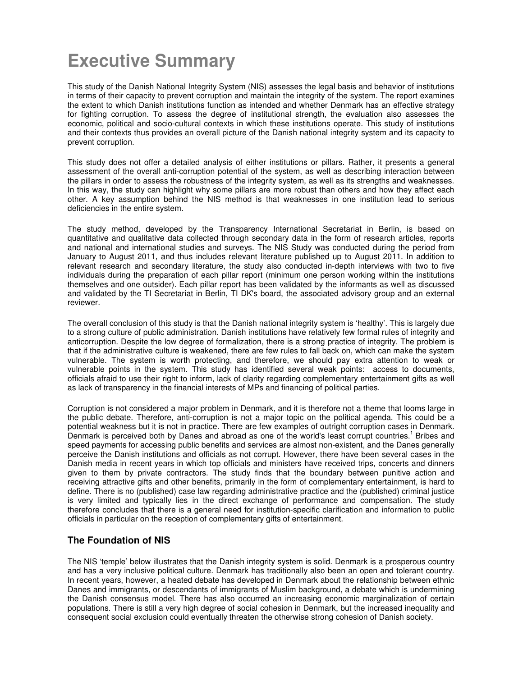# **Executive Summary**

This study of the Danish National Integrity System (NIS) assesses the legal basis and behavior of institutions in terms of their capacity to prevent corruption and maintain the integrity of the system. The report examines the extent to which Danish institutions function as intended and whether Denmark has an effective strategy for fighting corruption. To assess the degree of institutional strength, the evaluation also assesses the economic, political and socio-cultural contexts in which these institutions operate. This study of institutions and their contexts thus provides an overall picture of the Danish national integrity system and its capacity to prevent corruption.

This study does not offer a detailed analysis of either institutions or pillars. Rather, it presents a general assessment of the overall anti-corruption potential of the system, as well as describing interaction between the pillars in order to assess the robustness of the integrity system, as well as its strengths and weaknesses. In this way, the study can highlight why some pillars are more robust than others and how they affect each other. A key assumption behind the NIS method is that weaknesses in one institution lead to serious deficiencies in the entire system.

The study method, developed by the Transparency International Secretariat in Berlin, is based on quantitative and qualitative data collected through secondary data in the form of research articles, reports and national and international studies and surveys. The NIS Study was conducted during the period from January to August 2011, and thus includes relevant literature published up to August 2011. In addition to relevant research and secondary literature, the study also conducted in-depth interviews with two to five individuals during the preparation of each pillar report (minimum one person working within the institutions themselves and one outsider). Each pillar report has been validated by the informants as well as discussed and validated by the TI Secretariat in Berlin, TI DK's board, the associated advisory group and an external reviewer.

The overall conclusion of this study is that the Danish national integrity system is 'healthy'. This is largely due to a strong culture of public administration. Danish institutions have relatively few formal rules of integrity and anticorruption. Despite the low degree of formalization, there is a strong practice of integrity. The problem is that if the administrative culture is weakened, there are few rules to fall back on, which can make the system vulnerable. The system is worth protecting, and therefore, we should pay extra attention to weak or vulnerable points in the system. This study has identified several weak points: access to documents, officials afraid to use their right to inform, lack of clarity regarding complementary entertainment gifts as well as lack of transparency in the financial interests of MPs and financing of political parties.

Corruption is not considered a major problem in Denmark, and it is therefore not a theme that looms large in the public debate. Therefore, anti-corruption is not a major topic on the political agenda. This could be a potential weakness but it is not in practice. There are few examples of outright corruption cases in Denmark. Denmark is perceived both by Danes and abroad as one of the world's least corrupt countries.<sup>1</sup> Bribes and speed payments for accessing public benefits and services are almost non-existent, and the Danes generally perceive the Danish institutions and officials as not corrupt. However, there have been several cases in the Danish media in recent years in which top officials and ministers have received trips, concerts and dinners given to them by private contractors. The study finds that the boundary between punitive action and receiving attractive gifts and other benefits, primarily in the form of complementary entertainment, is hard to define. There is no (published) case law regarding administrative practice and the (published) criminal justice is very limited and typically lies in the direct exchange of performance and compensation. The study therefore concludes that there is a general need for institution-specific clarification and information to public officials in particular on the reception of complementary gifts of entertainment.

# **The Foundation of NIS**

The NIS 'temple' below illustrates that the Danish integrity system is solid. Denmark is a prosperous country and has a very inclusive political culture. Denmark has traditionally also been an open and tolerant country. In recent years, however, a heated debate has developed in Denmark about the relationship between ethnic Danes and immigrants, or descendants of immigrants of Muslim background, a debate which is undermining the Danish consensus model. There has also occurred an increasing economic marginalization of certain populations. There is still a very high degree of social cohesion in Denmark, but the increased inequality and consequent social exclusion could eventually threaten the otherwise strong cohesion of Danish society.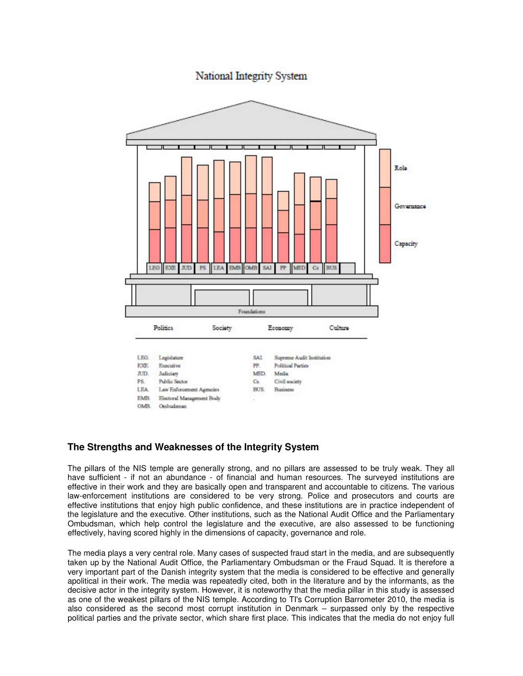**National Integrity System** 



# **The Strengths and Weaknesses of the Integrity System**

The pillars of the NIS temple are generally strong, and no pillars are assessed to be truly weak. They all have sufficient - if not an abundance - of financial and human resources. The surveyed institutions are effective in their work and they are basically open and transparent and accountable to citizens. The various law-enforcement institutions are considered to be very strong. Police and prosecutors and courts are effective institutions that enjoy high public confidence, and these institutions are in practice independent of the legislature and the executive. Other institutions, such as the National Audit Office and the Parliamentary Ombudsman, which help control the legislature and the executive, are also assessed to be functioning effectively, having scored highly in the dimensions of capacity, governance and role.

The media plays a very central role. Many cases of suspected fraud start in the media, and are subsequently taken up by the National Audit Office, the Parliamentary Ombudsman or the Fraud Squad. It is therefore a very important part of the Danish integrity system that the media is considered to be effective and generally apolitical in their work. The media was repeatedly cited, both in the literature and by the informants, as the decisive actor in the integrity system. However, it is noteworthy that the media pillar in this study is assessed as one of the weakest pillars of the NIS temple. According to TI's Corruption Barrometer 2010, the media is also considered as the second most corrupt institution in Denmark – surpassed only by the respective political parties and the private sector, which share first place. This indicates that the media do not enjoy full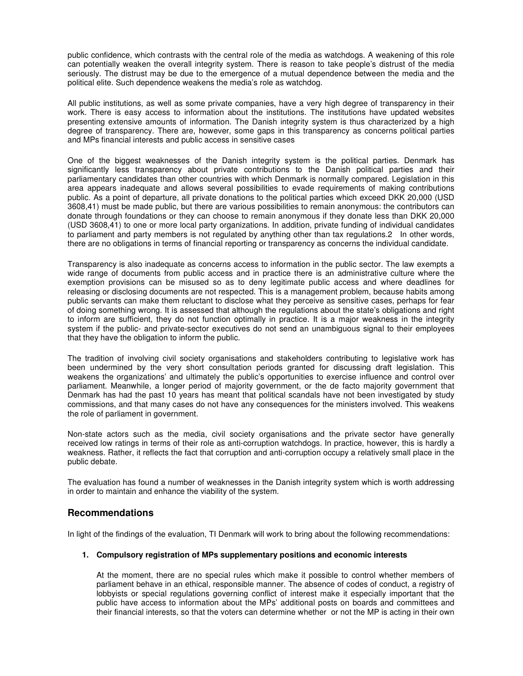public confidence, which contrasts with the central role of the media as watchdogs. A weakening of this role can potentially weaken the overall integrity system. There is reason to take people's distrust of the media seriously. The distrust may be due to the emergence of a mutual dependence between the media and the political elite. Such dependence weakens the media's role as watchdog.

All public institutions, as well as some private companies, have a very high degree of transparency in their work. There is easy access to information about the institutions. The institutions have updated websites presenting extensive amounts of information. The Danish integrity system is thus characterized by a high degree of transparency. There are, however, some gaps in this transparency as concerns political parties and MPs financial interests and public access in sensitive cases

One of the biggest weaknesses of the Danish integrity system is the political parties. Denmark has significantly less transparency about private contributions to the Danish political parties and their parliamentary candidates than other countries with which Denmark is normally compared. Legislation in this area appears inadequate and allows several possibilities to evade requirements of making contributions public. As a point of departure, all private donations to the political parties which exceed DKK 20,000 (USD 3608,41) must be made public, but there are various possibilities to remain anonymous: the contributors can donate through foundations or they can choose to remain anonymous if they donate less than DKK 20,000 (USD 3608,41) to one or more local party organizations. In addition, private funding of individual candidates to parliament and party members is not regulated by anything other than tax regulations.2 In other words, there are no obligations in terms of financial reporting or transparency as concerns the individual candidate.

Transparency is also inadequate as concerns access to information in the public sector. The law exempts a wide range of documents from public access and in practice there is an administrative culture where the exemption provisions can be misused so as to deny legitimate public access and where deadlines for releasing or disclosing documents are not respected. This is a management problem, because habits among public servants can make them reluctant to disclose what they perceive as sensitive cases, perhaps for fear of doing something wrong. It is assessed that although the regulations about the state's obligations and right to inform are sufficient, they do not function optimally in practice. It is a major weakness in the integrity system if the public- and private-sector executives do not send an unambiguous signal to their employees that they have the obligation to inform the public.

The tradition of involving civil society organisations and stakeholders contributing to legislative work has been undermined by the very short consultation periods granted for discussing draft legislation. This weakens the organizations' and ultimately the public's opportunities to exercise influence and control over parliament. Meanwhile, a longer period of majority government, or the de facto majority government that Denmark has had the past 10 years has meant that political scandals have not been investigated by study commissions, and that many cases do not have any consequences for the ministers involved. This weakens the role of parliament in government.

Non-state actors such as the media, civil society organisations and the private sector have generally received low ratings in terms of their role as anti-corruption watchdogs. In practice, however, this is hardly a weakness. Rather, it reflects the fact that corruption and anti-corruption occupy a relatively small place in the public debate.

The evaluation has found a number of weaknesses in the Danish integrity system which is worth addressing in order to maintain and enhance the viability of the system.

# **Recommendations**

In light of the findings of the evaluation, TI Denmark will work to bring about the following recommendations:

#### **1. Compulsory registration of MPs supplementary positions and economic interests**

At the moment, there are no special rules which make it possible to control whether members of parliament behave in an ethical, responsible manner. The absence of codes of conduct, a registry of lobbyists or special regulations governing conflict of interest make it especially important that the public have access to information about the MPs' additional posts on boards and committees and their financial interests, so that the voters can determine whether or not the MP is acting in their own